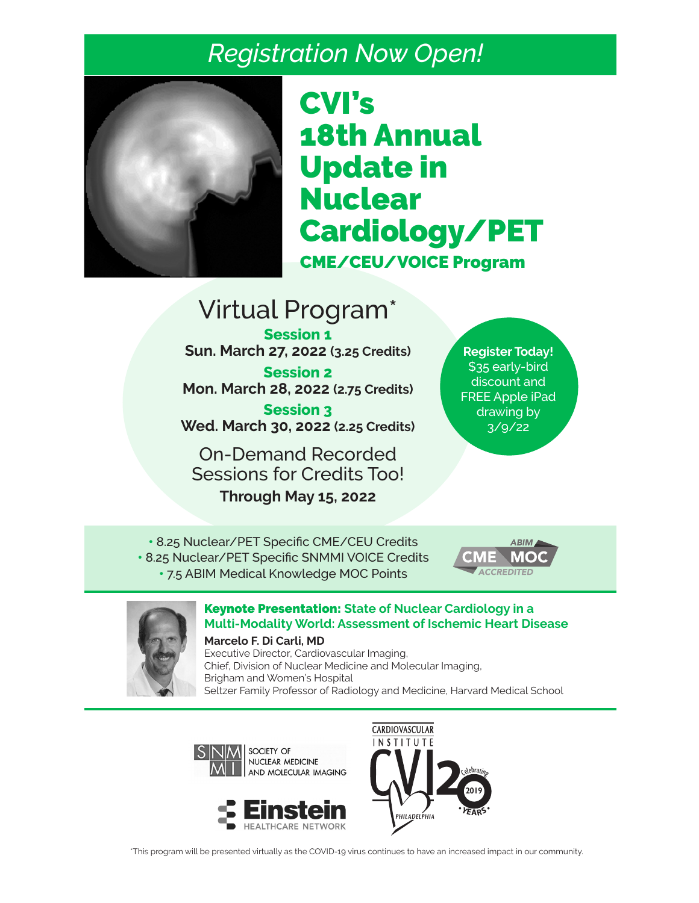# *Registration Now Open!*



# CVI's 18th Annual Update in **Nuclear** Cardiology/PET CME/CEU/VOICE Program

# Virtual Program\*

**Session 1 Sun. March 27, 2022 (3.25 Credits) Session 2**

**Mon. March 28, 2022 (2.75 Credits)**

**Session 3 Wed. March 30, 2022 (2.25 Credits)**

On-Demand Recorded Sessions for Credits Too!

**Through May 15, 2022** 

**Register Today!** \$35 early-bird discount and FREE Apple iPad drawing by  $3/9/22$ 

• 8.25 Nuclear/PET Specific CME/CEU Credits • 8.25 Nuclear/PET Specific SNMMI VOICE Credits • 7.5 ABIM Medical Knowledge MOC Points





# Keynote Presentation: **State of Nuclear Cardiology in a Multi-Modality World: Assessment of Ischemic Heart Disease**

**Marcelo F. Di Carli, MD**

Executive Director, Cardiovascular Imaging, Chief, Division of Nuclear Medicine and Molecular Imaging, Brigham and Women's Hospital Seltzer Family Professor of Radiology and Medicine, Harvard Medical School





\*This program will be presented virtually as the COVID-19 virus continues to have an increased impact in our community.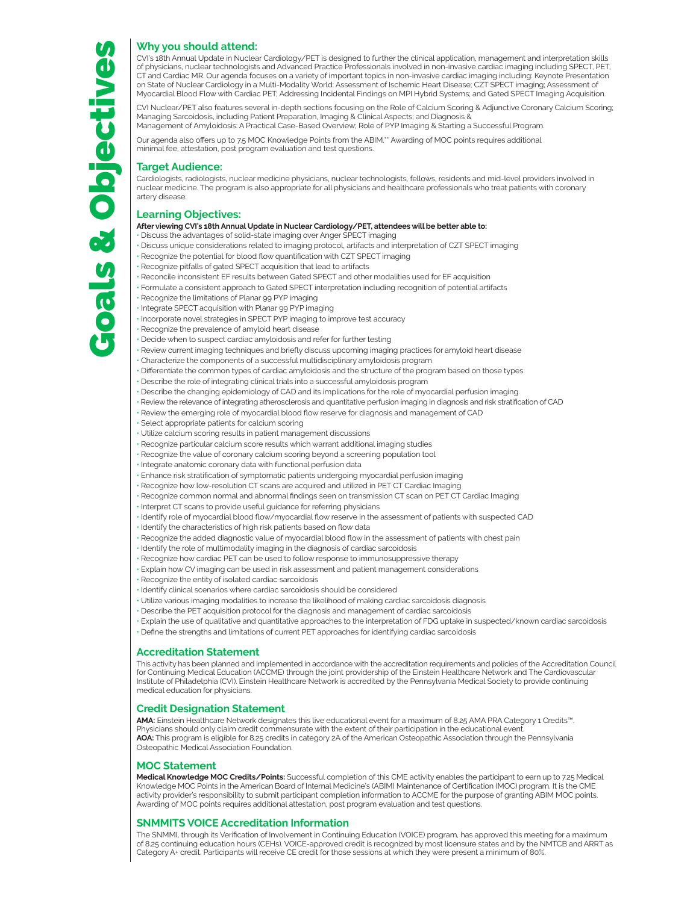CVI's 18th Annual Update in Nuclear Cardiology/PET is designed to further the clinical application, management and interpretation skills of physicians, nuclear technologists and Advanced Practice Professionals involved in non-invasive cardiac imaging including SPECT, PET, CT and Cardiac MR. Our agenda focuses on a variety of important topics in non-invasive cardiac imaging including: Keynote Presentation on State of Nuclear Cardiology in a Multi-Modality World: Assessment of Ischemic Heart Disease; CZT SPECT imaging; Assessment of Myocardial Blood Flow with Cardiac PET; Addressing Incidental Findings on MPI Hybrid Systems; and Gated SPECT Imaging Acquisition.

CVI Nuclear/PET also features several in-depth sections focusing on the Role of Calcium Scoring & Adjunctive Coronary Calcium Scoring; Managing Sarcoidosis, including Patient Preparation, Imaging & Clinical Aspects; and Diagnosis & Management of Amyloidosis: A Practical Case-Based Overview; Role of PYP Imaging & Starting a Successful Program.

Our agenda also offers up to 7.5 MOC Knowledge Points from the ABIM.\*\* Awarding of MOC points requires additional minimal fee, attestation, post program evaluation and test questions.

#### **Target Audience:**

Cardiologists, radiologists, nuclear medicine physicians, nuclear technologists, fellows, residents and mid-level providers involved in nuclear medicine. The program is also appropriate for all physicians and healthcare professionals who treat patients with coronary artery disease.

#### **Learning Objectives:**

**After viewing CVI's 18th Annual Update in Nuclear Cardiology/PET, attendees will be better able to:**

- Discuss the advantages of solid-state imaging over Anger SPECT imaging
- Discuss unique considerations related to imaging protocol, artifacts and interpretation of CZT SPECT imaging
- Recognize the potential for blood flow quantification with CZT SPECT imaging
- Recognize pitfalls of gated SPECT acquisition that lead to artifacts
- Reconcile inconsistent EF results between Gated SPECT and other modalities used for EF acquisition
- Formulate a consistent approach to Gated SPECT interpretation including recognition of potential artifacts
- Recognize the limitations of Planar 99 PYP imaging
- Integrate SPECT acquisition with Planar 99 PYP imaging
- Incorporate novel strategies in SPECT PYP imaging to improve test accuracy
- Recognize the prevalence of amyloid heart disease
- Decide when to suspect cardiac amyloidosis and refer for further testing
- Review current imaging techniques and briefly discuss upcoming imaging practices for amyloid heart disease
- Characterize the components of a successful multidisciplinary amyloidosis program
- Differentiate the common types of cardiac amyloidosis and the structure of the program based on those types
- Describe the role of integrating clinical trials into a successful amyloidosis program
- Describe the changing epidemiology of CAD and its implications for the role of myocardial perfusion imaging
- Review the relevance of integrating atherosclerosis and quantitative perfusion imaging in diagnosis and risk stratification of CAD
- Review the emerging role of myocardial blood flow reserve for diagnosis and management of CAD
- Select appropriate patients for calcium scoring
- Utilize calcium scoring results in patient management discussions
- Recognize particular calcium score results which warrant additional imaging studies
- Recognize the value of coronary calcium scoring beyond a screening population tool
- Integrate anatomic coronary data with functional perfusion data
- Enhance risk stratification of symptomatic patients undergoing myocardial perfusion imaging
- Recognize how low-resolution CT scans are acquired and utilized in PET CT Cardiac Imaging
- Recognize common normal and abnormal findings seen on transmission CT scan on PET CT Cardiac Imaging
- Interpret CT scans to provide useful guidance for referring physicians
- Identify role of myocardial blood flow/myocardial flow reserve in the assessment of patients with suspected CAD
- Identify the characteristics of high risk patients based on flow data
- Recognize the added diagnostic value of myocardial blood flow in the assessment of patients with chest pain
- Identify the role of multimodality imaging in the diagnosis of cardiac sarcoidosis
- Recognize how cardiac PET can be used to follow response to immunosuppressive therapy
- Explain how CV imaging can be used in risk assessment and patient management considerations
- Recognize the entity of isolated cardiac sarcoidosis
- Identify clinical scenarios where cardiac sarcoidosis should be considered
- Utilize various imaging modalities to increase the likelihood of making cardiac sarcoidosis diagnosis
- Describe the PET acquisition protocol for the diagnosis and management of cardiac sarcoidosis
- Explain the use of qualitative and quantitative approaches to the interpretation of FDG uptake in suspected/known cardiac sarcoidosis
- Define the strengths and limitations of current PET approaches for identifying cardiac sarcoidosis

#### **Accreditation Statement**

This activity has been planned and implemented in accordance with the accreditation requirements and policies of the Accreditation Council for Continuing Medical Education (ACCME) through the joint providership of the Einstein Healthcare Network and The Cardiovascular Institute of Philadelphia (CVI). Einstein Healthcare Network is accredited by the Pennsylvania Medical Society to provide continuing medical education for physicians.

#### **Credit Designation Statement**

**AMA:** Einstein Healthcare Network designates this live educational event for a maximum of 8.25 AMA PRA Category 1 Credits™. Physicians should only claim credit commensurate with the extent of their participation in the educational event. **AOA:** This program is eligible for 8.25 credits in category 2A of the American Osteopathic Association through the Pennsylvania Osteopathic Medical Association Foundation.

#### **MOC Statement**

**Medical Knowledge MOC Credits/Points:** Successful completion of this CME activity enables the participant to earn up to 7.25 Medical Knowledge MOC Points in the American Board of Internal Medicine's (ABIM) Maintenance of Certification (MOC) program. It is the CME activity provider's responsibility to submit participant completion information to ACCME for the purpose of granting ABIM MOC points. Awarding of MOC points requires additional attestation, post program evaluation and test questions.

#### **SNMMITS VOICE Accreditation Information**

The SNMMI, through its Verification of Involvement in Continuing Education (VOICE) program, has approved this meeting for a maximum of 8.25 continuing education hours (CEHs). VOICE-approved credit is recognized by most licensure states and by the NMTCB and ARRT as<br>Category A+ credit. Participants will receive CE credit for those sessions at which they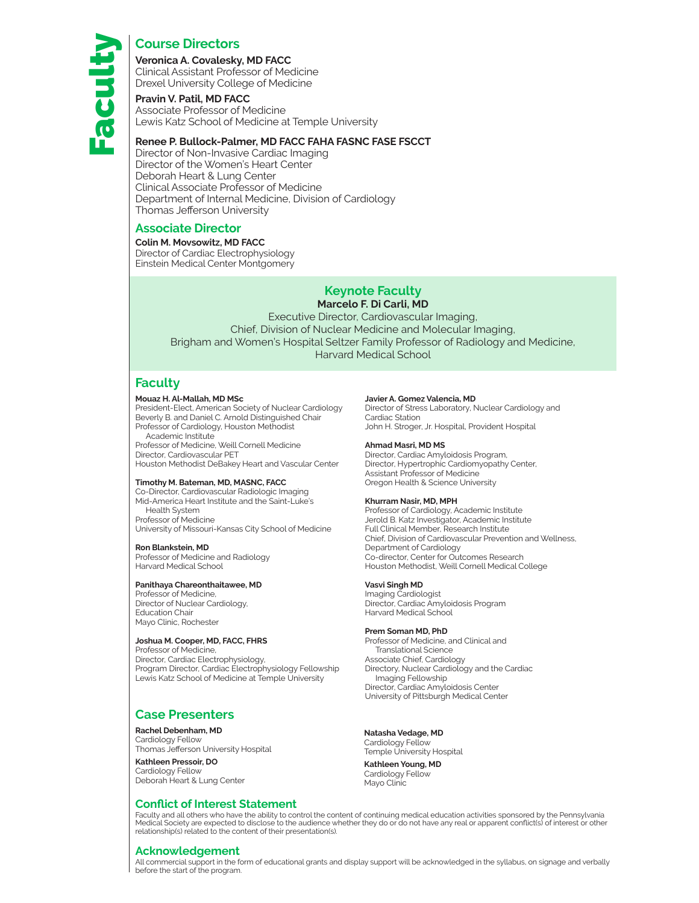### **Course Directors**

**Veronica A. Covalesky, MD FACC** Clinical Assistant Professor of Medicine Drexel University College of Medicine

**Pravin V. Patil, MD FACC** Associate Professor of Medicine Lewis Katz School of Medicine at Temple University

#### **Renee P. Bullock-Palmer, MD FACC FAHA FASNC FASE FSCCT**

Director of Non-Invasive Cardiac Imaging Director of the Women's Heart Center Deborah Heart & Lung Center Clinical Associate Professor of Medicine Department of Internal Medicine, Division of Cardiology Thomas Jefferson University

#### **Associate Director**

#### **Colin M. Movsowitz, MD FACC**

Director of Cardiac Electrophysiology Einstein Medical Center Montgomery

# **Keynote Faculty**

#### **Marcelo F. Di Carli, MD**

Executive Director, Cardiovascular Imaging, Chief, Division of Nuclear Medicine and Molecular Imaging, Brigham and Women's Hospital Seltzer Family Professor of Radiology and Medicine, Harvard Medical School

### **Faculty**

#### **Mouaz H. Al-Mallah, MD MSc**

President-Elect, American Society of Nuclear Cardiology Beverly B. and Daniel C. Arnold Distinguished Chair Professor of Cardiology, Houston Methodist Academic Institute

Professor of Medicine, Weill Cornell Medicine Director, Cardiovascular PET Houston Methodist DeBakey Heart and Vascular Center

#### **Timothy M. Bateman, MD, MASNC, FACC**

Co-Director, Cardiovascular Radiologic Imaging Mid-America Heart Institute and the Saint-Luke's Health System

Professor of Medicine University of Missouri-Kansas City School of Medicine

#### **Ron Blankstein, MD**

Professor of Medicine and Radiology Harvard Medical School

#### **Panithaya Chareonthaitawee, MD**

Professor of Medicine, Director of Nuclear Cardiology, Education Chair Mayo Clinic, Rochester

#### **Joshua M. Cooper, MD, FACC, FHRS**

Professor of Medicine, Director, Cardiac Electrophysiology, Program Director, Cardiac Electrophysiology Fellowship Lewis Katz School of Medicine at Temple University

### **Case Presenters**

#### **Rachel Debenham, MD**

Cardiology Fellow Thomas Jefferson University Hospital **Kathleen Pressoir, DO** 

Cardiology Fellow Deborah Heart & Lung Center

#### **Conflict of Interest Statement**

#### **Javier A. Gomez Valencia, MD**

Director of Stress Laboratory, Nuclear Cardiology and Cardiac Station John H. Stroger, Jr. Hospital, Provident Hospital

#### **Ahmad Masri, MD MS**

Director, Cardiac Amyloidosis Program, Director, Hypertrophic Cardiomyopathy Center, Assistant Professor of Medicine Oregon Health & Science University

#### **Khurram Nasir, MD, MPH**

Professor of Cardiology, Academic Institute Jerold B. Katz Investigator, Academic Institute Full Clinical Member, Research Institute Chief, Division of Cardiovascular Prevention and Wellness, Department of Cardiology Co-director, Center for Outcomes Research Houston Methodist, Weill Cornell Medical College

#### **Vasvi Singh MD**

Imaging Cardiologist Director, Cardiac Amyloidosis Program Harvard Medical School

#### **Prem Soman MD, PhD**

Professor of Medicine, and Clinical and Translational Science Associate Chief, Cardiology Directory, Nuclear Cardiology and the Cardiac Imaging Fellowship Director, Cardiac Amyloidosis Center University of Pittsburgh Medical Center

#### **Natasha Vedage, MD**

Cardiology Fellow Temple University Hospital

### **Kathleen Young, MD**

Cardiology Fellow Mayo Clinic

Faculty and all others who have the ability to control the content of continuing medical education activities sponsored by the Pennsylvania Medical Society are expected to disclose to the audience whether they do or do not have any real or apparent conflict(s) of interest or other relationship(s) related to the content of their presentation(s).

#### **Acknowledgement**

All commercial support in the form of educational grants and display support will be acknowledged in the syllabus, on signage and verbally before the start of the program.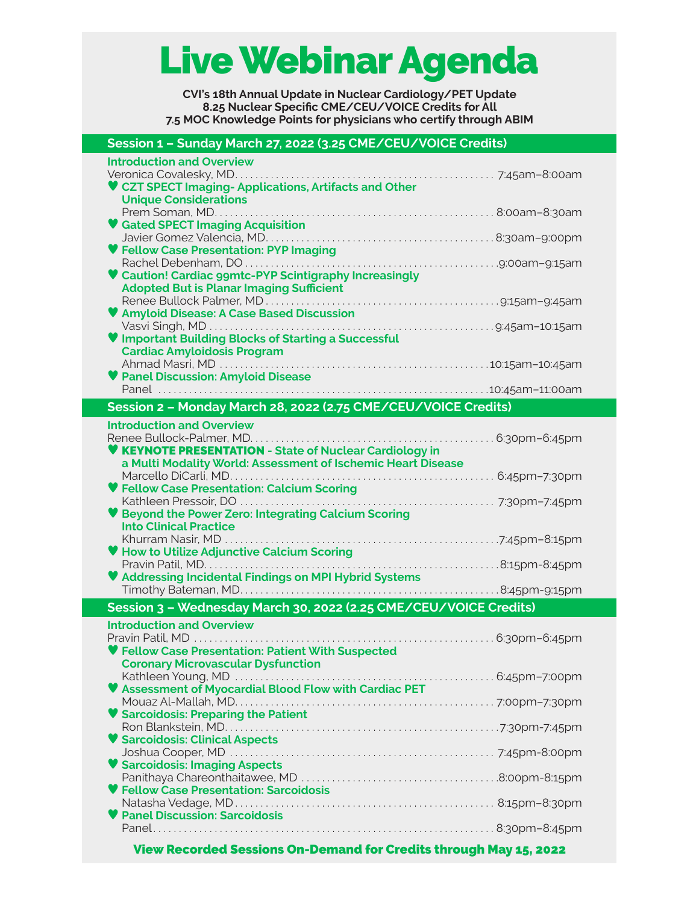# Live Webinar Agenda

**CVI's 18th Annual Update in Nuclear Cardiology/PET Update 8.25 Nuclear Specific CME/CEU/VOICE Credits for All 7.5 MOC Knowledge Points for physicians who certify through ABIM** 

## **Session 1 – Sunday March 27, 2022 (3.25 CME/CEU/VOICE Credits)**

| <b>Introduction and Overview</b>                                         |  |
|--------------------------------------------------------------------------|--|
|                                                                          |  |
| ♥ CZT SPECT Imaging-Applications, Artifacts and Other                    |  |
| <b>Unique Considerations</b>                                             |  |
|                                                                          |  |
| <b>Gated SPECT Imaging Acquisition</b>                                   |  |
|                                                                          |  |
| ♥ Fellow Case Presentation: PYP Imaging                                  |  |
|                                                                          |  |
| ♥ Caution! Cardiac ggmtc-PYP Scintigraphy Increasingly                   |  |
| <b>Adopted But is Planar Imaging Sufficient</b>                          |  |
|                                                                          |  |
| ♥ Amyloid Disease: A Case Based Discussion                               |  |
|                                                                          |  |
| ♥ Important Building Blocks of Starting a Successful                     |  |
| <b>Cardiac Amyloidosis Program</b>                                       |  |
|                                                                          |  |
| <b>V</b> Panel Discussion: Amyloid Disease                               |  |
|                                                                          |  |
|                                                                          |  |
| Session 2 - Monday March 28, 2022 (2.75 CME/CEU/VOICE Credits)           |  |
| <b>Introduction and Overview</b>                                         |  |
|                                                                          |  |
| <b>KEYNOTE PRESENTATION - State of Nuclear Cardiology in</b>             |  |
| a Multi Modality World: Assessment of Ischemic Heart Disease             |  |
|                                                                          |  |
| ♥ Fellow Case Presentation: Calcium Scoring                              |  |
|                                                                          |  |
| <b>Beyond the Power Zero: Integrating Calcium Scoring</b>                |  |
| <b>Into Clinical Practice</b>                                            |  |
|                                                                          |  |
| ♥ How to Utilize Adjunctive Calcium Scoring                              |  |
|                                                                          |  |
|                                                                          |  |
| ♥ Addressing Incidental Findings on MPI Hybrid Systems                   |  |
|                                                                          |  |
| Session 3 - Wednesday March 30, 2022 (2.25 CME/CEU/VOICE Credits)        |  |
| <b>Introduction and Overview</b>                                         |  |
|                                                                          |  |
| ♥ Fellow Case Presentation: Patient With Suspected                       |  |
|                                                                          |  |
| <b>Coronary Microvascular Dysfunction</b>                                |  |
|                                                                          |  |
|                                                                          |  |
|                                                                          |  |
|                                                                          |  |
| Sarcoidosis: Preparing the Patient                                       |  |
|                                                                          |  |
| <b>V Sarcoidosis: Clinical Aspects</b>                                   |  |
|                                                                          |  |
| <b>Sarcoidosis: Imaging Aspects</b>                                      |  |
|                                                                          |  |
| <b>Fellow Case Presentation: Sarcoidosis</b>                             |  |
|                                                                          |  |
| <b>Panel Discussion: Sarcoidosis</b>                                     |  |
|                                                                          |  |
| <b>View Recorded Sessions On-Demand for Credits through May 15, 2022</b> |  |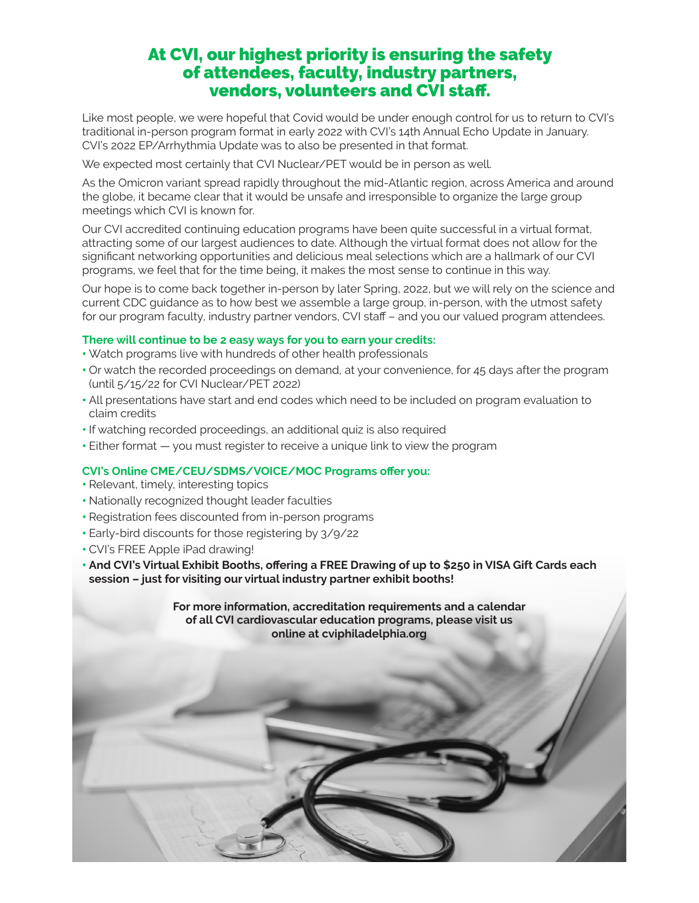# At CVI, our highest priority is ensuring the safety of attendees, faculty, industry partners, vendors, volunteers and CVI staff.

Like most people, we were hopeful that Covid would be under enough control for us to return to CVI's traditional in-person program format in early 2022 with CVI's 14th Annual Echo Update in January. CVI's 2022 EP/Arrhythmia Update was to also be presented in that format.

We expected most certainly that CVI Nuclear/PET would be in person as well.

As the Omicron variant spread rapidly throughout the mid-Atlantic region, across America and around the globe, it became clear that it would be unsafe and irresponsible to organize the large group meetings which CVI is known for.

Our CVI accredited continuing education programs have been quite successful in a virtual format, attracting some of our largest audiences to date. Although the virtual format does not allow for the significant networking opportunities and delicious meal selections which are a hallmark of our CVI programs, we feel that for the time being, it makes the most sense to continue in this way.

Our hope is to come back together in-person by later Spring, 2022, but we will rely on the science and current CDC guidance as to how best we assemble a large group, in-person, with the utmost safety for our program faculty, industry partner vendors, CVI staff – and you our valued program attendees.

### **There will continue to be 2 easy ways for you to earn your credits:**

- Watch programs live with hundreds of other health professionals
- Or watch the recorded proceedings on demand, at your convenience, for 45 days after the program (until 5/15/22 for CVI Nuclear/PET 2022)
- All presentations have start and end codes which need to be included on program evaluation to claim credits
- If watching recorded proceedings, an additional quiz is also required
- Either format you must register to receive a unique link to view the program

#### **CVI's Online CME/CEU/SDMS/VOICE/MOC Programs offer you:**

- Relevant, timely, interesting topics
- Nationally recognized thought leader faculties
- Registration fees discounted from in-person programs
- Early-bird discounts for those registering by 3/9/22
- CVI's FREE Apple iPad drawing!
- **And CVI's Virtual Exhibit Booths, offering a FREE Drawing of up to \$250 in VISA Gift Cards each session – just for visiting our virtual industry partner exhibit booths!**

**For more information, accreditation requirements and a calendar of all CVI cardiovascular education programs, please visit us online at cviphiladelphia.org**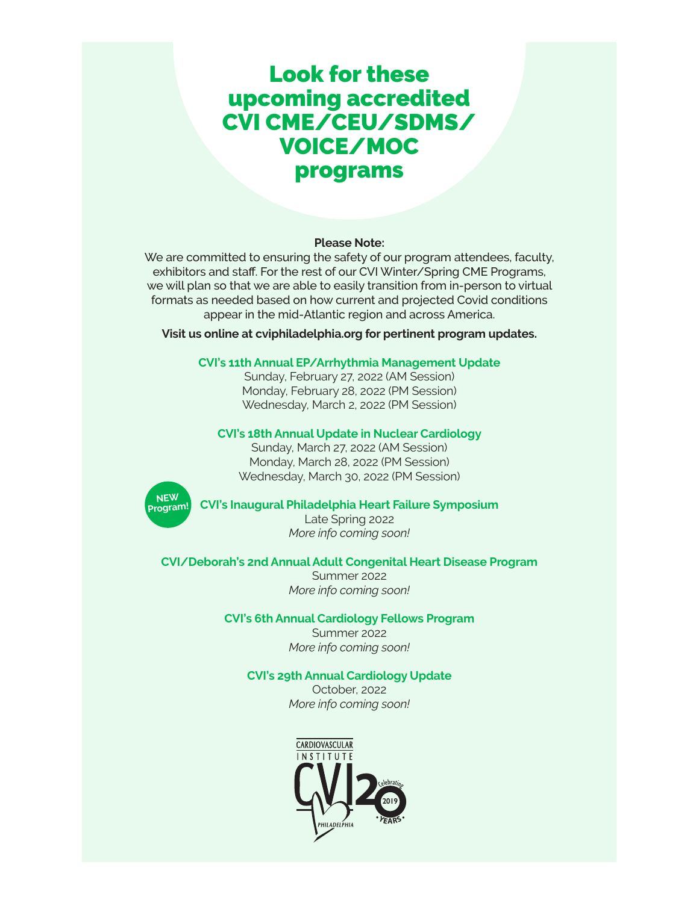# Look for these upcoming accredited CVI CME/CEU/SDMS/ VOICE/MOC programs

#### **Please Note:**

We are committed to ensuring the safety of our program attendees, faculty, exhibitors and staff. For the rest of our CVI Winter/Spring CME Programs, we will plan so that we are able to easily transition from in-person to virtual formats as needed based on how current and projected Covid conditions appear in the mid-Atlantic region and across America.

**Visit us online at cviphiladelphia.org for pertinent program updates.**

#### **CVI's 11th Annual EP/Arrhythmia Management Update**

Sunday, February 27, 2022 (AM Session) Monday, February 28, 2022 (PM Session) Wednesday, March 2, 2022 (PM Session)

#### **CVI's 18th Annual Update in Nuclear Cardiology**

Sunday, March 27, 2022 (AM Session) Monday, March 28, 2022 (PM Session) Wednesday, March 30, 2022 (PM Session)



#### **CVI's Inaugural Philadelphia Heart Failure Symposium**

Late Spring 2022 *More info coming soon!*

#### **CVI/Deborah's 2nd Annual Adult Congenital Heart Disease Program**

Summer 2022 *More info coming soon!*

#### **CVI's 6th Annual Cardiology Fellows Program**

Summer 2022 *More info coming soon!*

#### **CVI's 29th Annual Cardiology Update**

October, 2022 *More info coming soon!*